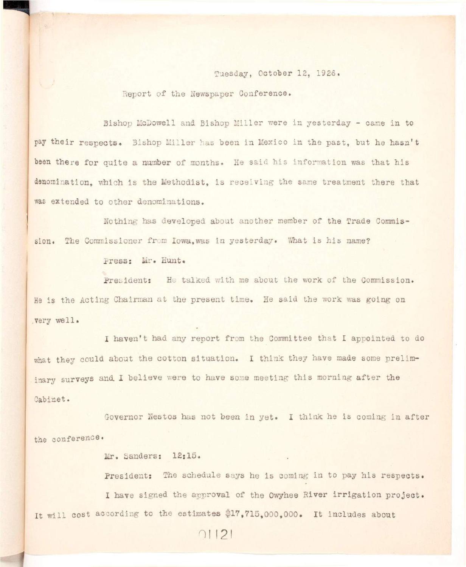Tuesday, October 12, 1926.

Report of the Newspaper Conference.

Bishop McDowell and Bishop Miller were in yesterday - came in to pay their respects. Bishop Miller has been in Mexico in the past, but he hasn't been there for quite a number of months. He said his information was that his denomination, which is the Methodist, is receiving the same treatment there that **was extended to other denominations.** 

**Nothing has developed about another member of the Trade Commis**sion. The Commissioner from Iowa, was in yesterday. What is his name?

**press: Mr. Hunt.** 

President: He talked with me about the work of the Commission. **He is the Acting Chairman at the present time. He said the work was going on ,very well .** 

**I haven't had any report from the Committee that I appointed to do**  what they could about the cotton situation. I think they have made some preliminary surveys and I believe were to have some meeting this morning after the **Cabinet.** 

Governor Nestos has not been in yet. I think he is coming in after **the conference.** 

**Mr. Sanders: 12:15.** 

President: The schedule says he is coming in to pay his respects. I have signed the approval of the Owyhee River irrigation project. It will cost according to the estimates \$17,715,000,000. It includes about

 $01121$